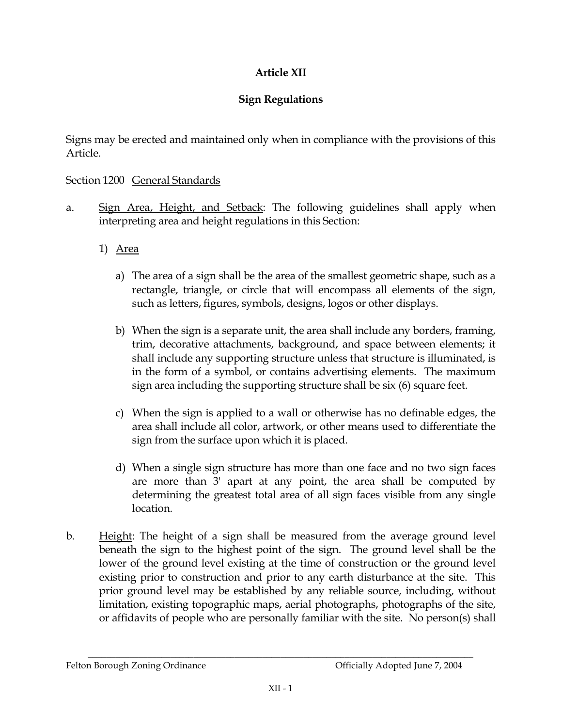## Article XII

## **Sign Regulations**

Signs may be erected and maintained only when in compliance with the provisions of this Article.

## Section 1200 General Standards

- Sign Area, Height, and Setback: The following guidelines shall apply when a. interpreting area and height regulations in this Section:
	- 1) Area
		- a) The area of a sign shall be the area of the smallest geometric shape, such as a rectangle, triangle, or circle that will encompass all elements of the sign, such as letters, figures, symbols, designs, logos or other displays.
		- b) When the sign is a separate unit, the area shall include any borders, framing, trim, decorative attachments, background, and space between elements; it shall include any supporting structure unless that structure is illuminated, is in the form of a symbol, or contains advertising elements. The maximum sign area including the supporting structure shall be six (6) square feet.
		- c) When the sign is applied to a wall or otherwise has no definable edges, the area shall include all color, artwork, or other means used to differentiate the sign from the surface upon which it is placed.
		- d) When a single sign structure has more than one face and no two sign faces are more than 3' apart at any point, the area shall be computed by determining the greatest total area of all sign faces visible from any single location.
- $\mathbf{b}$ . Height: The height of a sign shall be measured from the average ground level beneath the sign to the highest point of the sign. The ground level shall be the lower of the ground level existing at the time of construction or the ground level existing prior to construction and prior to any earth disturbance at the site. This prior ground level may be established by any reliable source, including, without limitation, existing topographic maps, aerial photographs, photographs of the site, or affidavits of people who are personally familiar with the site. No person(s) shall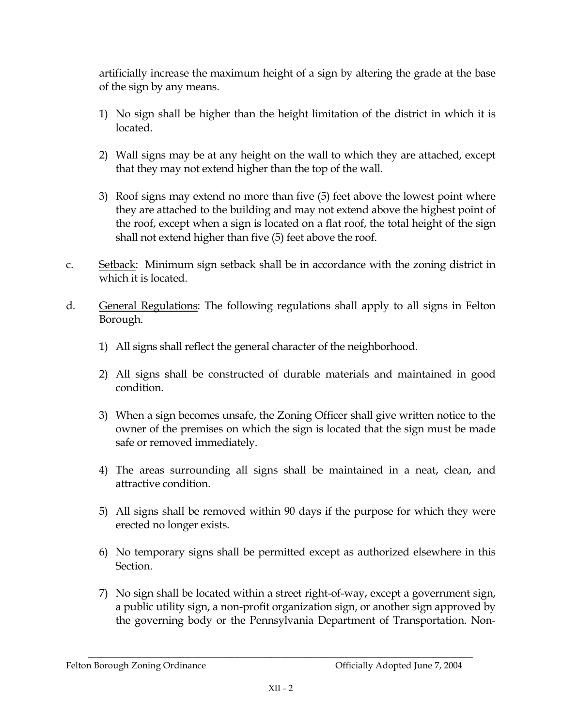artificially increase the maximum height of a sign by altering the grade at the base of the sign by any means.

- 1) No sign shall be higher than the height limitation of the district in which it is located.
- 2) Wall signs may be at any height on the wall to which they are attached, except that they may not extend higher than the top of the wall.
- 3) Roof signs may extend no more than five (5) feet above the lowest point where they are attached to the building and may not extend above the highest point of the roof, except when a sign is located on a flat roof, the total height of the sign shall not extend higher than five (5) feet above the roof.
- Setback: Minimum sign setback shall be in accordance with the zoning district in  $C<sub>1</sub>$ which it is located.
- $\mathbf d$ General Regulations: The following regulations shall apply to all signs in Felton Borough.
	- 1) All signs shall reflect the general character of the neighborhood.
	- 2) All signs shall be constructed of durable materials and maintained in good condition.
	- 3) When a sign becomes unsafe, the Zoning Officer shall give written notice to the owner of the premises on which the sign is located that the sign must be made safe or removed immediately.
	- 4) The areas surrounding all signs shall be maintained in a neat, clean, and attractive condition.
	- 5) All signs shall be removed within 90 days if the purpose for which they were erected no longer exists.
	- 6) No temporary signs shall be permitted except as authorized elsewhere in this Section.
	- 7) No sign shall be located within a street right-of-way, except a government sign, a public utility sign, a non-profit organization sign, or another sign approved by the governing body or the Pennsylvania Department of Transportation. Non-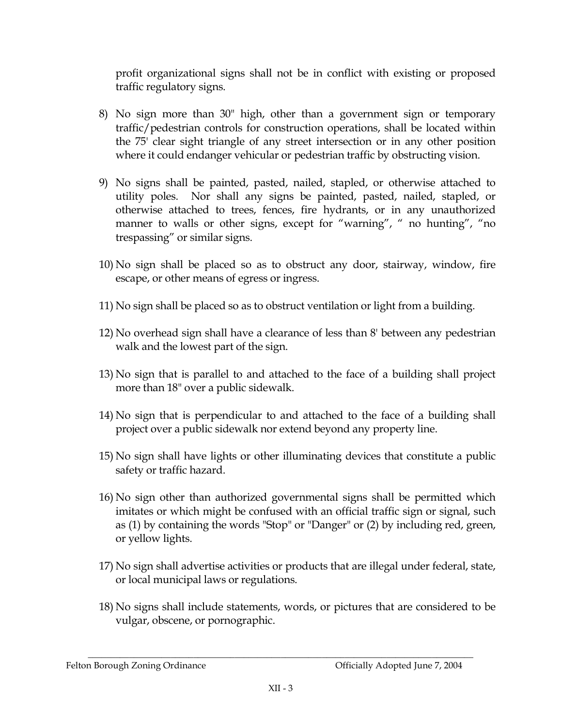profit organizational signs shall not be in conflict with existing or proposed traffic regulatory signs.

- 8) No sign more than 30" high, other than a government sign or temporary traffic/pedestrian controls for construction operations, shall be located within the 75' clear sight triangle of any street intersection or in any other position where it could endanger vehicular or pedestrian traffic by obstructing vision.
- 9) No signs shall be painted, pasted, nailed, stapled, or otherwise attached to utility poles. Nor shall any signs be painted, pasted, nailed, stapled, or otherwise attached to trees, fences, fire hydrants, or in any unauthorized manner to walls or other signs, except for "warning", " no hunting", "no trespassing" or similar signs.
- 10) No sign shall be placed so as to obstruct any door, stairway, window, fire escape, or other means of egress or ingress.
- 11) No sign shall be placed so as to obstruct ventilation or light from a building.
- 12) No overhead sign shall have a clearance of less than 8' between any pedestrian walk and the lowest part of the sign.
- 13) No sign that is parallel to and attached to the face of a building shall project more than 18" over a public sidewalk.
- 14) No sign that is perpendicular to and attached to the face of a building shall project over a public sidewalk nor extend beyond any property line.
- 15) No sign shall have lights or other illuminating devices that constitute a public safety or traffic hazard.
- 16) No sign other than authorized governmental signs shall be permitted which imitates or which might be confused with an official traffic sign or signal, such as (1) by containing the words "Stop" or "Danger" or (2) by including red, green, or yellow lights.
- 17) No sign shall advertise activities or products that are illegal under federal, state, or local municipal laws or regulations.
- 18) No signs shall include statements, words, or pictures that are considered to be vulgar, obscene, or pornographic.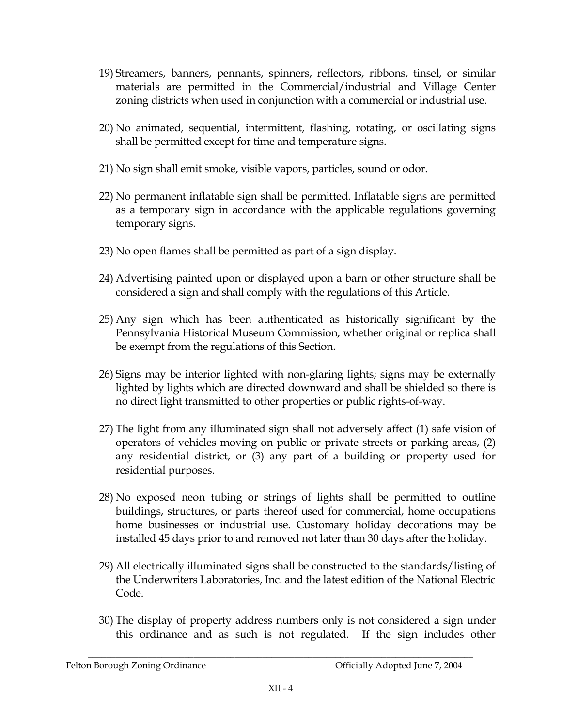- 19) Streamers, banners, pennants, spinners, reflectors, ribbons, tinsel, or similar materials are permitted in the Commercial/industrial and Village Center zoning districts when used in conjunction with a commercial or industrial use.
- 20) No animated, sequential, intermittent, flashing, rotating, or oscillating signs shall be permitted except for time and temperature signs.
- 21) No sign shall emit smoke, visible vapors, particles, sound or odor.
- 22) No permanent inflatable sign shall be permitted. Inflatable signs are permitted as a temporary sign in accordance with the applicable regulations governing temporary signs.
- 23) No open flames shall be permitted as part of a sign display.
- 24) Advertising painted upon or displayed upon a barn or other structure shall be considered a sign and shall comply with the regulations of this Article.
- 25) Any sign which has been authenticated as historically significant by the Pennsylvania Historical Museum Commission, whether original or replica shall be exempt from the regulations of this Section.
- 26) Signs may be interior lighted with non-glaring lights; signs may be externally lighted by lights which are directed downward and shall be shielded so there is no direct light transmitted to other properties or public rights-of-way.
- 27) The light from any illuminated sign shall not adversely affect (1) safe vision of operators of vehicles moving on public or private streets or parking areas, (2) any residential district, or (3) any part of a building or property used for residential purposes.
- 28) No exposed neon tubing or strings of lights shall be permitted to outline buildings, structures, or parts thereof used for commercial, home occupations home businesses or industrial use. Customary holiday decorations may be installed 45 days prior to and removed not later than 30 days after the holiday.
- 29) All electrically illuminated signs shall be constructed to the standards/listing of the Underwriters Laboratories. Inc. and the latest edition of the National Electric Code.
- 30) The display of property address numbers only is not considered a sign under this ordinance and as such is not regulated. If the sign includes other